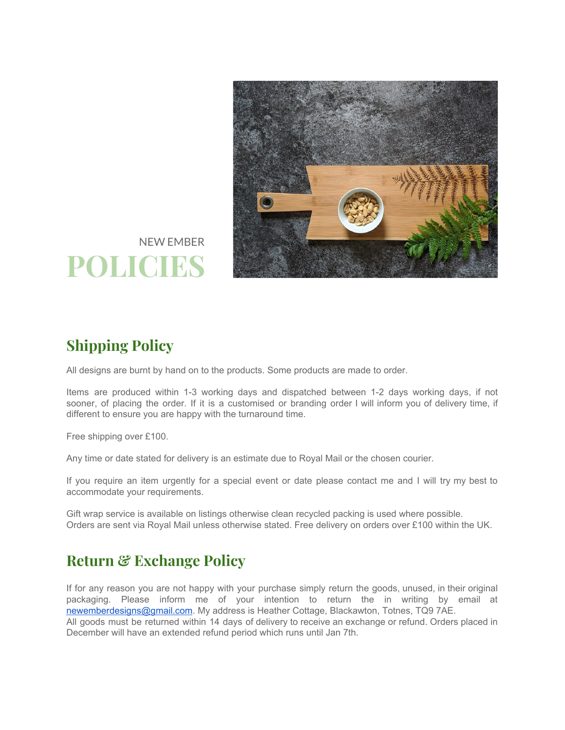

## NEW EMBER **POLICIES**

## **Shipping Policy**

All designs are burnt by hand on to the products. Some products are made to order.

Items are produced within 1-3 working days and dispatched between 1-2 days working days, if not sooner, of placing the order. If it is a customised or branding order I will inform you of delivery time, if different to ensure you are happy with the turnaround time.

Free shipping over £100.

Any time or date stated for delivery is an estimate due to Royal Mail or the chosen courier.

If you require an item urgently for a special event or date please contact me and I will try my best to accommodate your requirements.

Gift wrap service is available on listings otherwise clean recycled packing is used where possible. Orders are sent via Royal Mail unless otherwise stated. Free delivery on orders over £100 within the UK.

## **Return & Exchange Policy**

If for any reason you are not happy with your purchase simply return the goods, unused, in their original packaging. Please inform me of your intention to return the in writing by email at [newemberdesigns@gmail.com](mailto:newemberdesigns@gmail.com). My address is Heather Cottage, Blackawton, Totnes, TQ9 7AE. All goods must be returned within 14 days of delivery to receive an exchange or refund. Orders placed in December will have an extended refund period which runs until Jan 7th.